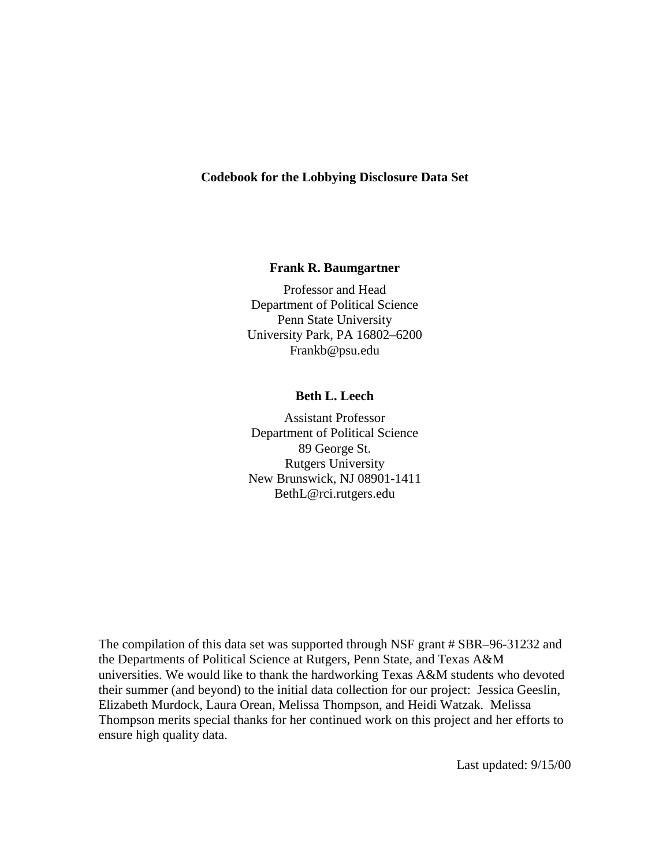#### **Codebook for the Lobbying Disclosure Data Set**

#### **Frank R. Baumgartner**

Professor and Head Department of Political Science Penn State University University Park, PA 16802–6200 Frankb@psu.edu

#### **Beth L. Leech**

Assistant Professor Department of Political Science 89 George St. Rutgers University New Brunswick, NJ 08901-1411 BethL@rci.rutgers.edu

The compilation of this data set was supported through NSF grant # SBR–96-31232 and the Departments of Political Science at Rutgers, Penn State, and Texas A&M universities. We would like to thank the hardworking Texas A&M students who devoted their summer (and beyond) to the initial data collection for our project: Jessica Geeslin, Elizabeth Murdock, Laura Orean, Melissa Thompson, and Heidi Watzak. Melissa Thompson merits special thanks for her continued work on this project and her efforts to ensure high quality data.

Last updated: 9/15/00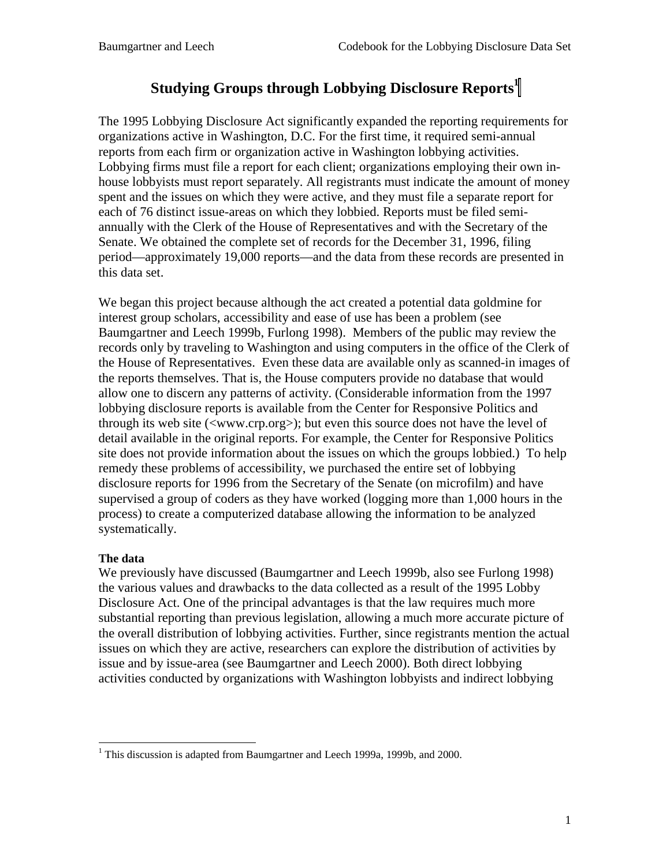# **Studying Groups through Lobbying Disclosure Reports1**

The 1995 Lobbying Disclosure Act significantly expanded the reporting requirements for organizations active in Washington, D.C. For the first time, it required semi-annual reports from each firm or organization active in Washington lobbying activities. Lobbying firms must file a report for each client; organizations employing their own inhouse lobbyists must report separately. All registrants must indicate the amount of money spent and the issues on which they were active, and they must file a separate report for each of 76 distinct issue-areas on which they lobbied. Reports must be filed semiannually with the Clerk of the House of Representatives and with the Secretary of the Senate. We obtained the complete set of records for the December 31, 1996, filing period—approximately 19,000 reports—and the data from these records are presented in this data set.

We began this project because although the act created a potential data goldmine for interest group scholars, accessibility and ease of use has been a problem (see Baumgartner and Leech 1999b, Furlong 1998). Members of the public may review the records only by traveling to Washington and using computers in the office of the Clerk of the House of Representatives. Even these data are available only as scanned-in images of the reports themselves. That is, the House computers provide no database that would allow one to discern any patterns of activity. (Considerable information from the 1997 lobbying disclosure reports is available from the Center for Responsive Politics and through its web site (<www.crp.org>); but even this source does not have the level of detail available in the original reports. For example, the Center for Responsive Politics site does not provide information about the issues on which the groups lobbied.) To help remedy these problems of accessibility, we purchased the entire set of lobbying disclosure reports for 1996 from the Secretary of the Senate (on microfilm) and have supervised a group of coders as they have worked (logging more than 1,000 hours in the process) to create a computerized database allowing the information to be analyzed systematically.

## **The data**

l

We previously have discussed (Baumgartner and Leech 1999b, also see Furlong 1998) the various values and drawbacks to the data collected as a result of the 1995 Lobby Disclosure Act. One of the principal advantages is that the law requires much more substantial reporting than previous legislation, allowing a much more accurate picture of the overall distribution of lobbying activities. Further, since registrants mention the actual issues on which they are active, researchers can explore the distribution of activities by issue and by issue-area (see Baumgartner and Leech 2000). Both direct lobbying activities conducted by organizations with Washington lobbyists and indirect lobbying

<sup>&</sup>lt;sup>1</sup> This discussion is adapted from Baumgartner and Leech 1999a, 1999b, and 2000.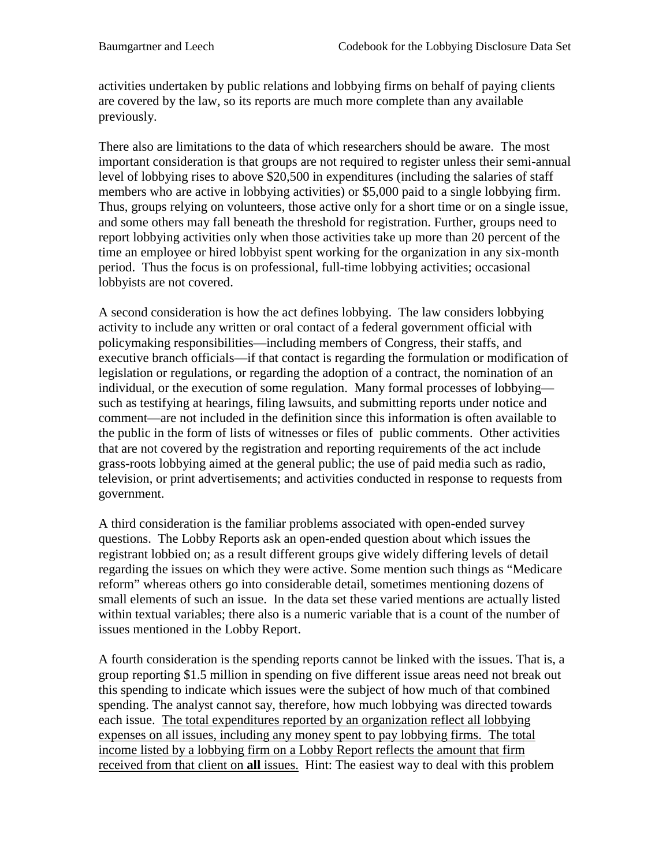activities undertaken by public relations and lobbying firms on behalf of paying clients are covered by the law, so its reports are much more complete than any available previously.

There also are limitations to the data of which researchers should be aware. The most important consideration is that groups are not required to register unless their semi-annual level of lobbying rises to above \$20,500 in expenditures (including the salaries of staff members who are active in lobbying activities) or \$5,000 paid to a single lobbying firm. Thus, groups relying on volunteers, those active only for a short time or on a single issue, and some others may fall beneath the threshold for registration. Further, groups need to report lobbying activities only when those activities take up more than 20 percent of the time an employee or hired lobbyist spent working for the organization in any six-month period. Thus the focus is on professional, full-time lobbying activities; occasional lobbyists are not covered.

A second consideration is how the act defines lobbying. The law considers lobbying activity to include any written or oral contact of a federal government official with policymaking responsibilities—including members of Congress, their staffs, and executive branch officials—if that contact is regarding the formulation or modification of legislation or regulations, or regarding the adoption of a contract, the nomination of an individual, or the execution of some regulation. Many formal processes of lobbying such as testifying at hearings, filing lawsuits, and submitting reports under notice and comment—are not included in the definition since this information is often available to the public in the form of lists of witnesses or files of public comments. Other activities that are not covered by the registration and reporting requirements of the act include grass-roots lobbying aimed at the general public; the use of paid media such as radio, television, or print advertisements; and activities conducted in response to requests from government.

A third consideration is the familiar problems associated with open-ended survey questions. The Lobby Reports ask an open-ended question about which issues the registrant lobbied on; as a result different groups give widely differing levels of detail regarding the issues on which they were active. Some mention such things as "Medicare reform" whereas others go into considerable detail, sometimes mentioning dozens of small elements of such an issue. In the data set these varied mentions are actually listed within textual variables; there also is a numeric variable that is a count of the number of issues mentioned in the Lobby Report.

A fourth consideration is the spending reports cannot be linked with the issues. That is, a group reporting \$1.5 million in spending on five different issue areas need not break out this spending to indicate which issues were the subject of how much of that combined spending. The analyst cannot say, therefore, how much lobbying was directed towards each issue. The total expenditures reported by an organization reflect all lobbying expenses on all issues, including any money spent to pay lobbying firms. The total income listed by a lobbying firm on a Lobby Report reflects the amount that firm received from that client on **all** issues. Hint: The easiest way to deal with this problem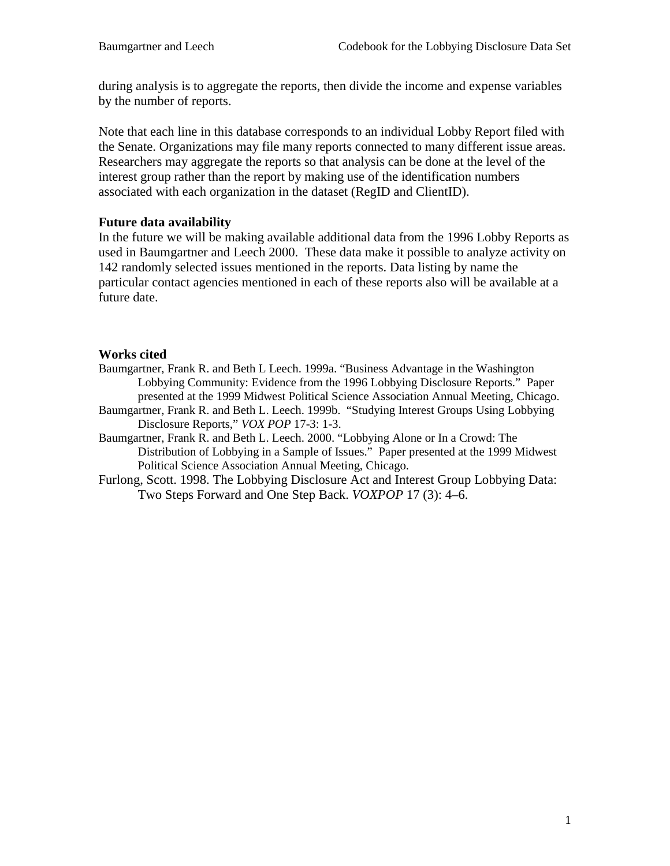during analysis is to aggregate the reports, then divide the income and expense variables by the number of reports.

Note that each line in this database corresponds to an individual Lobby Report filed with the Senate. Organizations may file many reports connected to many different issue areas. Researchers may aggregate the reports so that analysis can be done at the level of the interest group rather than the report by making use of the identification numbers associated with each organization in the dataset (RegID and ClientID).

## **Future data availability**

In the future we will be making available additional data from the 1996 Lobby Reports as used in Baumgartner and Leech 2000. These data make it possible to analyze activity on 142 randomly selected issues mentioned in the reports. Data listing by name the particular contact agencies mentioned in each of these reports also will be available at a future date.

### **Works cited**

- Baumgartner, Frank R. and Beth L Leech. 1999a. "Business Advantage in the Washington Lobbying Community: Evidence from the 1996 Lobbying Disclosure Reports." Paper presented at the 1999 Midwest Political Science Association Annual Meeting, Chicago.
- Baumgartner, Frank R. and Beth L. Leech. 1999b. "Studying Interest Groups Using Lobbying Disclosure Reports," *VOX POP* 17-3: 1-3.
- Baumgartner, Frank R. and Beth L. Leech. 2000. "Lobbying Alone or In a Crowd: The Distribution of Lobbying in a Sample of Issues."Paper presented at the 1999 Midwest Political Science Association Annual Meeting, Chicago.
- Furlong, Scott. 1998. The Lobbying Disclosure Act and Interest Group Lobbying Data: Two Steps Forward and One Step Back. *VOXPOP* 17 (3): 4–6.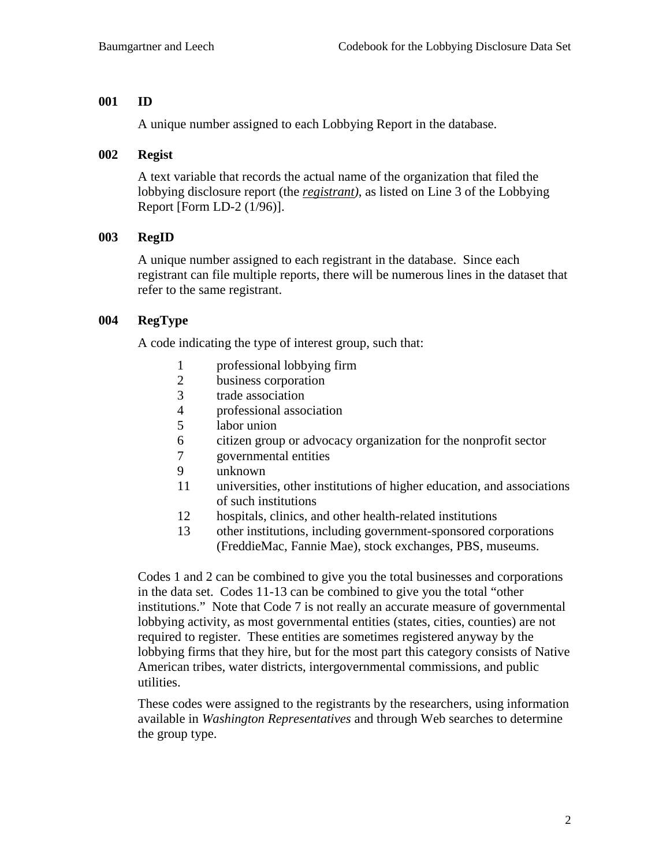### **001 ID**

A unique number assigned to each Lobbying Report in the database.

### **002 Regist**

A text variable that records the actual name of the organization that filed the lobbying disclosure report (the *registrant)*, as listed on Line 3 of the Lobbying Report [Form LD-2 (1/96)].

### **003 RegID**

A unique number assigned to each registrant in the database. Since each registrant can file multiple reports, there will be numerous lines in the dataset that refer to the same registrant.

## **004 RegType**

A code indicating the type of interest group, such that:

- 1 professional lobbying firm
- 2 business corporation<br>3 trade association
- trade association
- 4 professional association
- 5 labor union
- 6 citizen group or advocacy organization for the nonprofit sector
- 7 governmental entities
- 9 unknown
- 11 universities, other institutions of higher education, and associations of such institutions
- 12 hospitals, clinics, and other health-related institutions
- 13 other institutions, including government-sponsored corporations (FreddieMac, Fannie Mae), stock exchanges, PBS, museums.

Codes 1 and 2 can be combined to give you the total businesses and corporations in the data set. Codes 11-13 can be combined to give you the total "other institutions." Note that Code 7 is not really an accurate measure of governmental lobbying activity, as most governmental entities (states, cities, counties) are not required to register. These entities are sometimes registered anyway by the lobbying firms that they hire, but for the most part this category consists of Native American tribes, water districts, intergovernmental commissions, and public utilities.

These codes were assigned to the registrants by the researchers, using information available in *Washington Representatives* and through Web searches to determine the group type.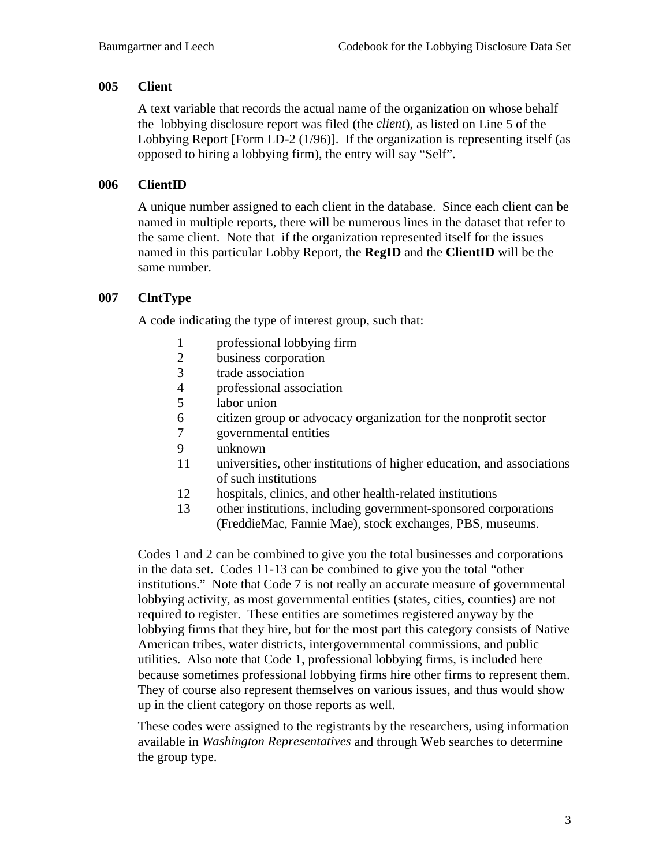#### **005 Client**

A text variable that records the actual name of the organization on whose behalf the lobbying disclosure report was filed (the *client*), as listed on Line 5 of the Lobbying Report [Form LD-2 (1/96)]. If the organization is representing itself (as opposed to hiring a lobbying firm), the entry will say "Self".

### **006 ClientID**

A unique number assigned to each client in the database. Since each client can be named in multiple reports, there will be numerous lines in the dataset that refer to the same client. Note that if the organization represented itself for the issues named in this particular Lobby Report, the **RegID** and the **ClientID** will be the same number.

### **007 ClntType**

A code indicating the type of interest group, such that:

- 1 professional lobbying firm<br>2 business corporation
- 2 business corporation<br>3 trade association
- 3 trade association<br>4 professional assoc
- professional association
- 5 labor union
- 6 citizen group or advocacy organization for the nonprofit sector
- 7 governmental entities
- 9 unknown
- 11 universities, other institutions of higher education, and associations of such institutions
- 12 hospitals, clinics, and other health-related institutions
- 13 other institutions, including government-sponsored corporations (FreddieMac, Fannie Mae), stock exchanges, PBS, museums.

Codes 1 and 2 can be combined to give you the total businesses and corporations in the data set. Codes 11-13 can be combined to give you the total "other institutions." Note that Code 7 is not really an accurate measure of governmental lobbying activity, as most governmental entities (states, cities, counties) are not required to register. These entities are sometimes registered anyway by the lobbying firms that they hire, but for the most part this category consists of Native American tribes, water districts, intergovernmental commissions, and public utilities. Also note that Code 1, professional lobbying firms, is included here because sometimes professional lobbying firms hire other firms to represent them. They of course also represent themselves on various issues, and thus would show up in the client category on those reports as well.

These codes were assigned to the registrants by the researchers, using information available in *Washington Representatives* and through Web searches to determine the group type.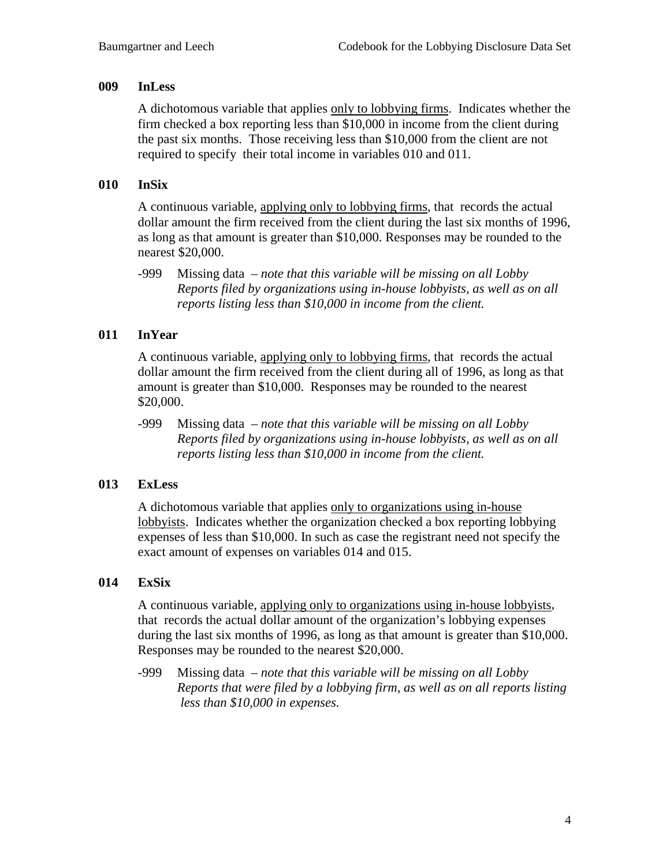## **009 InLess**

A dichotomous variable that applies only to lobbying firms. Indicates whether the firm checked a box reporting less than \$10,000 in income from the client during the past six months. Those receiving less than \$10,000 from the client are not required to specify their total income in variables 010 and 011.

## **010 InSix**

A continuous variable, applying only to lobbying firms, that records the actual dollar amount the firm received from the client during the last six months of 1996, as long as that amount is greater than \$10,000. Responses may be rounded to the nearest \$20,000.

-999 Missing data *– note that this variable will be missing on all Lobby Reports filed by organizations using in-house lobbyists, as well as on all reports listing less than \$10,000 in income from the client.* 

## **011 InYear**

A continuous variable, applying only to lobbying firms, that records the actual dollar amount the firm received from the client during all of 1996, as long as that amount is greater than \$10,000. Responses may be rounded to the nearest \$20,000.

-999 Missing data *– note that this variable will be missing on all Lobby Reports filed by organizations using in-house lobbyists, as well as on all reports listing less than \$10,000 in income from the client.* 

## **013 ExLess**

A dichotomous variable that applies only to organizations using in-house lobbyists. Indicates whether the organization checked a box reporting lobbying expenses of less than \$10,000. In such as case the registrant need not specify the exact amount of expenses on variables 014 and 015.

## **014 ExSix**

A continuous variable, applying only to organizations using in-house lobbyists, that records the actual dollar amount of the organization's lobbying expenses during the last six months of 1996, as long as that amount is greater than \$10,000. Responses may be rounded to the nearest \$20,000.

-999 Missing data *– note that this variable will be missing on all Lobby Reports that were filed by a lobbying firm, as well as on all reports listing less than \$10,000 in expenses.*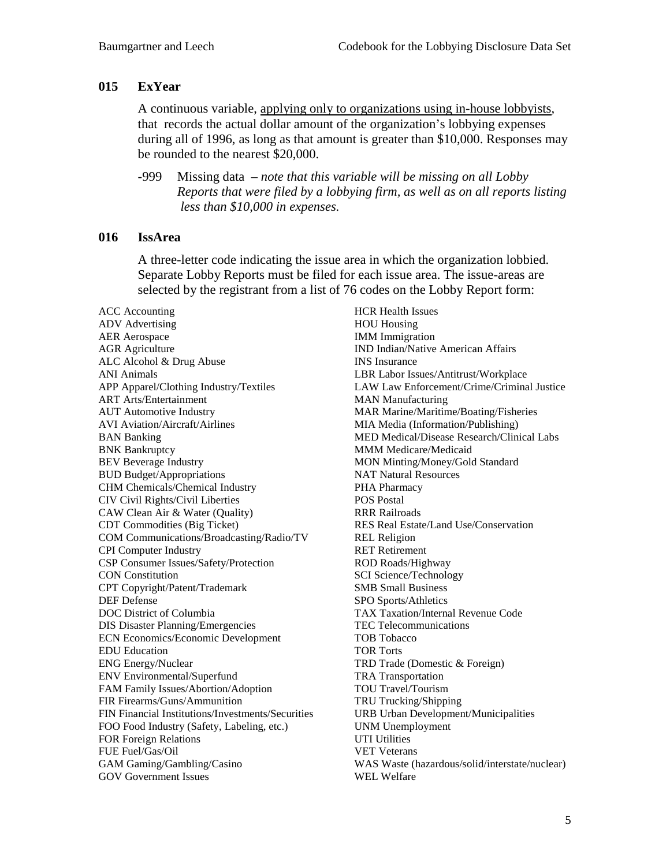### **015 ExYear**

A continuous variable, applying only to organizations using in-house lobbyists, that records the actual dollar amount of the organization's lobbying expenses during all of 1996, as long as that amount is greater than \$10,000. Responses may be rounded to the nearest \$20,000.

-999 Missing data *– note that this variable will be missing on all Lobby Reports that were filed by a lobbying firm, as well as on all reports listing less than \$10,000 in expenses.*

#### **016 IssArea**

A three-letter code indicating the issue area in which the organization lobbied. Separate Lobby Reports must be filed for each issue area. The issue-areas are selected by the registrant from a list of 76 codes on the Lobby Report form:

ACC Accounting ADV Advertising AER Aerospace AGR Agriculture ALC Alcohol & Drug Abuse ANI Animals APP Apparel/Clothing Industry/Textiles ART Arts/Entertainment AUT Automotive Industry AVI Aviation/Aircraft/Airlines BAN Banking BNK Bankruptcy BEV Beverage Industry BUD Budget/Appropriations CHM Chemicals/Chemical Industry CIV Civil Rights/Civil Liberties CAW Clean Air & Water (Quality) CDT Commodities (Big Ticket) COM Communications/Broadcasting/Radio/TV CPI Computer Industry CSP Consumer Issues/Safety/Protection CON Constitution CPT Copyright/Patent/Trademark DEF Defense DOC District of Columbia DIS Disaster Planning/Emergencies ECN Economics/Economic Development EDU Education ENG Energy/Nuclear ENV Environmental/Superfund FAM Family Issues/Abortion/Adoption FIR Firearms/Guns/Ammunition FIN Financial Institutions/Investments/Securities FOO Food Industry (Safety, Labeling, etc.) FOR Foreign Relations FUE Fuel/Gas/Oil GAM Gaming/Gambling/Casino GOV Government Issues

HCR Health Issues HOU Housing IMM Immigration IND Indian/Native American Affairs INS Insurance LBR Labor Issues/Antitrust/Workplace LAW Law Enforcement/Crime/Criminal Justice MAN Manufacturing MAR Marine/Maritime/Boating/Fisheries MIA Media (Information/Publishing) MED Medical/Disease Research/Clinical Labs MMM Medicare/Medicaid MON Minting/Money/Gold Standard NAT Natural Resources PHA Pharmacy POS Postal RRR Railroads RES Real Estate/Land Use/Conservation REL Religion RET Retirement ROD Roads/Highway SCI Science/Technology SMB Small Business SPO Sports/Athletics TAX Taxation/Internal Revenue Code TEC Telecommunications TOB Tobacco TOR Torts TRD Trade (Domestic & Foreign) TRA Transportation TOU Travel/Tourism TRU Trucking/Shipping URB Urban Development/Municipalities UNM Unemployment UTI Utilities VET Veterans WAS Waste (hazardous/solid/interstate/nuclear) WEL Welfare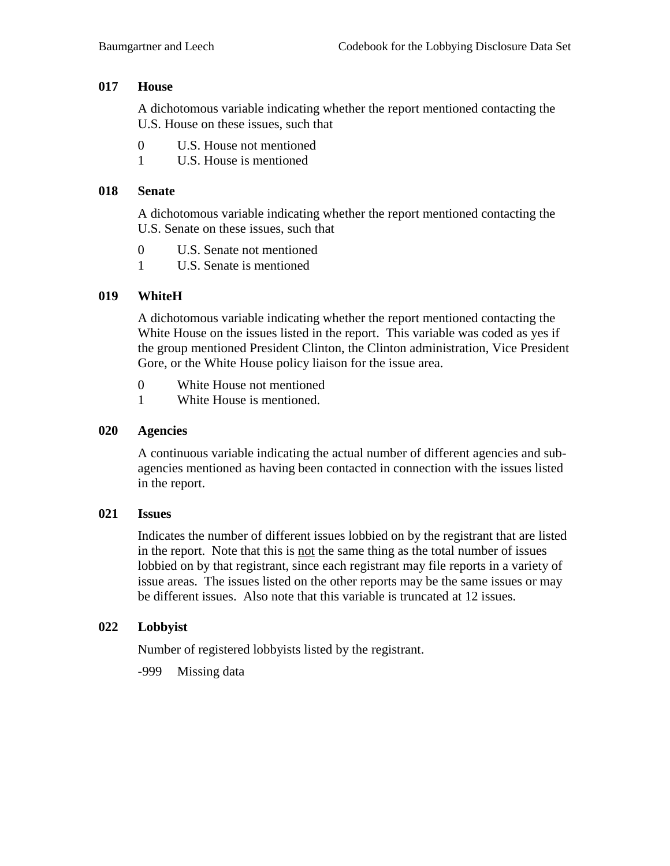### **017 House**

A dichotomous variable indicating whether the report mentioned contacting the U.S. House on these issues, such that

- 0 U.S. House not mentioned
- 1 U.S. House is mentioned

### **018 Senate**

A dichotomous variable indicating whether the report mentioned contacting the U.S. Senate on these issues, such that

- 0 U.S. Senate not mentioned
- 1 U.S. Senate is mentioned

### **019 WhiteH**

A dichotomous variable indicating whether the report mentioned contacting the White House on the issues listed in the report. This variable was coded as yes if the group mentioned President Clinton, the Clinton administration, Vice President Gore, or the White House policy liaison for the issue area.

- 0 White House not mentioned
- 1 White House is mentioned.

### **020 Agencies**

A continuous variable indicating the actual number of different agencies and subagencies mentioned as having been contacted in connection with the issues listed in the report.

#### **021 Issues**

Indicates the number of different issues lobbied on by the registrant that are listed in the report. Note that this is not the same thing as the total number of issues lobbied on by that registrant, since each registrant may file reports in a variety of issue areas. The issues listed on the other reports may be the same issues or may be different issues. Also note that this variable is truncated at 12 issues.

## **022 Lobbyist**

Number of registered lobbyists listed by the registrant.

-999 Missing data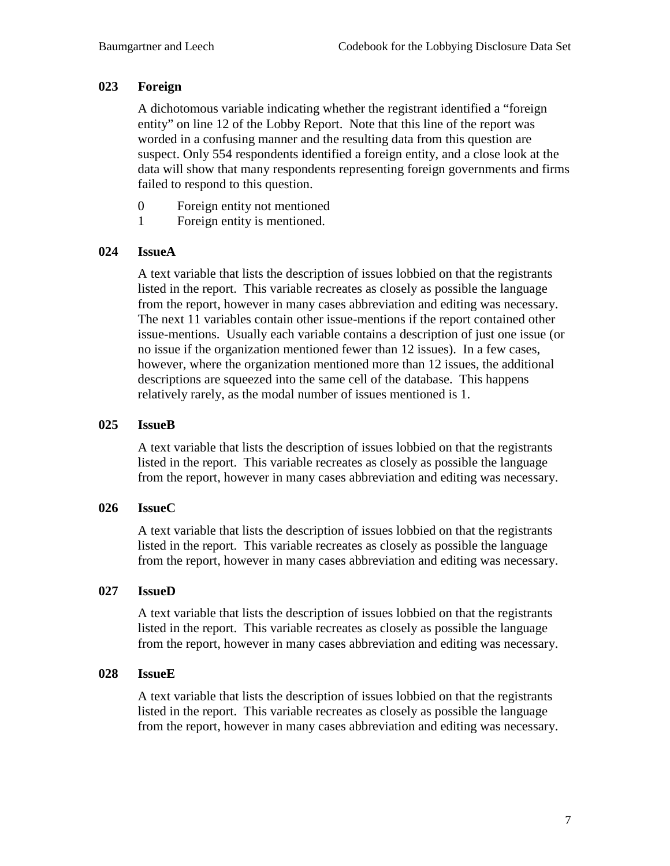### **023 Foreign**

A dichotomous variable indicating whether the registrant identified a "foreign entity" on line 12 of the Lobby Report. Note that this line of the report was worded in a confusing manner and the resulting data from this question are suspect. Only 554 respondents identified a foreign entity, and a close look at the data will show that many respondents representing foreign governments and firms failed to respond to this question.

- 0 Foreign entity not mentioned
- 1 Foreign entity is mentioned.

### **024 IssueA**

A text variable that lists the description of issues lobbied on that the registrants listed in the report. This variable recreates as closely as possible the language from the report, however in many cases abbreviation and editing was necessary. The next 11 variables contain other issue-mentions if the report contained other issue-mentions. Usually each variable contains a description of just one issue (or no issue if the organization mentioned fewer than 12 issues). In a few cases, however, where the organization mentioned more than 12 issues, the additional descriptions are squeezed into the same cell of the database. This happens relatively rarely, as the modal number of issues mentioned is 1.

#### **025 IssueB**

A text variable that lists the description of issues lobbied on that the registrants listed in the report. This variable recreates as closely as possible the language from the report, however in many cases abbreviation and editing was necessary.

#### **026 IssueC**

A text variable that lists the description of issues lobbied on that the registrants listed in the report. This variable recreates as closely as possible the language from the report, however in many cases abbreviation and editing was necessary.

#### **027 IssueD**

A text variable that lists the description of issues lobbied on that the registrants listed in the report. This variable recreates as closely as possible the language from the report, however in many cases abbreviation and editing was necessary.

#### **028 IssueE**

A text variable that lists the description of issues lobbied on that the registrants listed in the report. This variable recreates as closely as possible the language from the report, however in many cases abbreviation and editing was necessary.